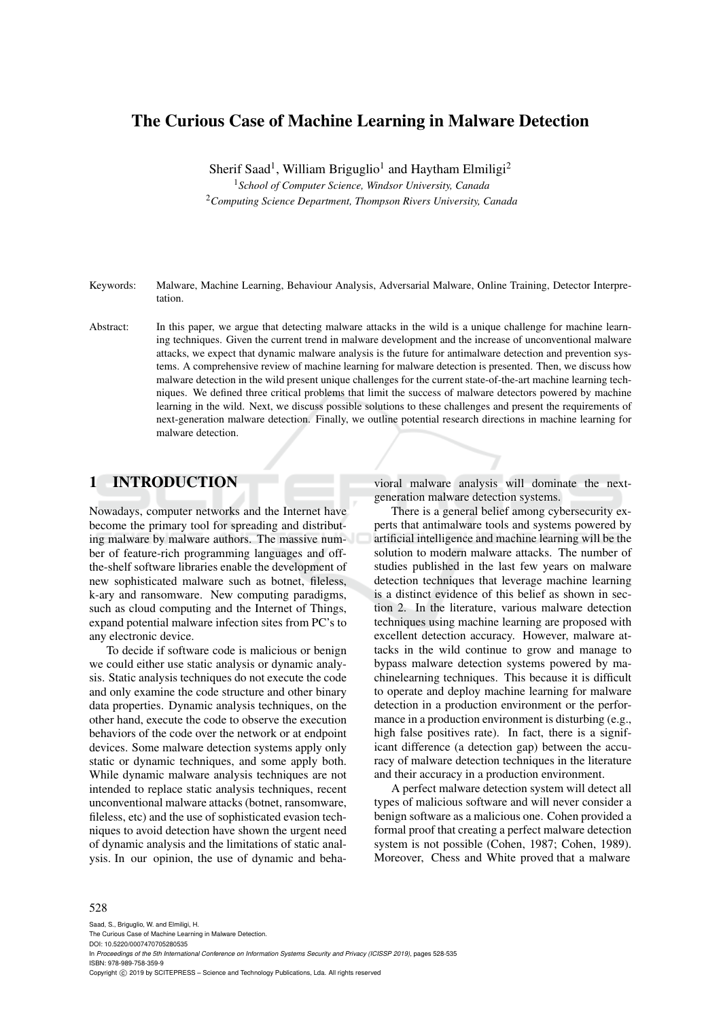# The Curious Case of Machine Learning in Malware Detection

Sherif Saad<sup>1</sup>, William Briguglio<sup>1</sup> and Haytham Elmiligi<sup>2</sup> <sup>1</sup>*School of Computer Science, Windsor University, Canada* <sup>2</sup>*Computing Science Department, Thompson Rivers University, Canada*

Keywords: Malware, Machine Learning, Behaviour Analysis, Adversarial Malware, Online Training, Detector Interpre-

Abstract: In this paper, we argue that detecting malware attacks in the wild is a unique challenge for machine learning techniques. Given the current trend in malware development and the increase of unconventional malware attacks, we expect that dynamic malware analysis is the future for antimalware detection and prevention systems. A comprehensive review of machine learning for malware detection is presented. Then, we discuss how malware detection in the wild present unique challenges for the current state-of-the-art machine learning techniques. We defined three critical problems that limit the success of malware detectors powered by machine learning in the wild. Next, we discuss possible solutions to these challenges and present the requirements of next-generation malware detection. Finally, we outline potential research directions in machine learning for malware detection.

## 1 INTRODUCTION

tation.

Nowadays, computer networks and the Internet have become the primary tool for spreading and distributing malware by malware authors. The massive number of feature-rich programming languages and offthe-shelf software libraries enable the development of new sophisticated malware such as botnet, fileless, k-ary and ransomware. New computing paradigms, such as cloud computing and the Internet of Things, expand potential malware infection sites from PC's to any electronic device.

To decide if software code is malicious or benign we could either use static analysis or dynamic analysis. Static analysis techniques do not execute the code and only examine the code structure and other binary data properties. Dynamic analysis techniques, on the other hand, execute the code to observe the execution behaviors of the code over the network or at endpoint devices. Some malware detection systems apply only static or dynamic techniques, and some apply both. While dynamic malware analysis techniques are not intended to replace static analysis techniques, recent unconventional malware attacks (botnet, ransomware, fileless, etc) and the use of sophisticated evasion techniques to avoid detection have shown the urgent need of dynamic analysis and the limitations of static analysis. In our opinion, the use of dynamic and behavioral malware analysis will dominate the nextgeneration malware detection systems.

There is a general belief among cybersecurity experts that antimalware tools and systems powered by artificial intelligence and machine learning will be the solution to modern malware attacks. The number of studies published in the last few years on malware detection techniques that leverage machine learning is a distinct evidence of this belief as shown in section 2. In the literature, various malware detection techniques using machine learning are proposed with excellent detection accuracy. However, malware attacks in the wild continue to grow and manage to bypass malware detection systems powered by machinelearning techniques. This because it is difficult to operate and deploy machine learning for malware detection in a production environment or the performance in a production environment is disturbing (e.g., high false positives rate). In fact, there is a significant difference (a detection gap) between the accuracy of malware detection techniques in the literature and their accuracy in a production environment.

A perfect malware detection system will detect all types of malicious software and will never consider a benign software as a malicious one. Cohen provided a formal proof that creating a perfect malware detection system is not possible (Cohen, 1987; Cohen, 1989). Moreover, Chess and White proved that a malware

#### 528

Saad, S., Briguglio, W. and Elmiligi, H. The Curious Case of Machine Learning in Malware Detection. DOI: 10.5220/0007470705280535 In *Proceedings of the 5th International Conference on Information Systems Security and Privacy (ICISSP 2019)*, pages 528-535 ISBN: 978-989-758-359-9 Copyright © 2019 by SCITEPRESS - Science and Technology Publications, Lda. All rights reserved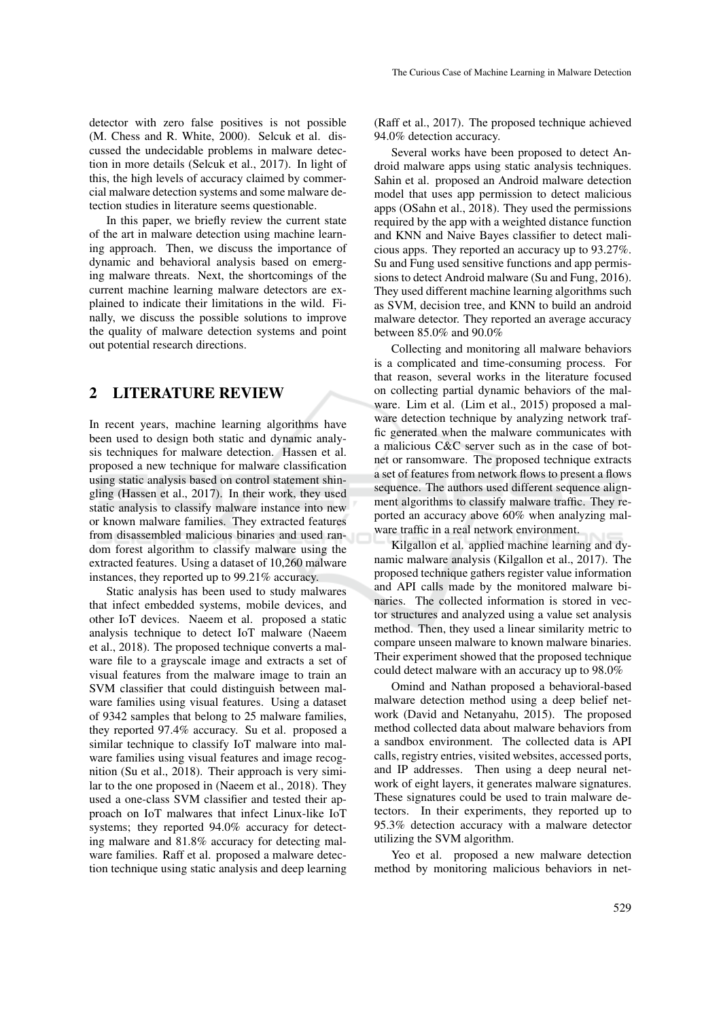detector with zero false positives is not possible (M. Chess and R. White, 2000). Selcuk et al. discussed the undecidable problems in malware detection in more details (Selcuk et al., 2017). In light of this, the high levels of accuracy claimed by commercial malware detection systems and some malware detection studies in literature seems questionable.

In this paper, we briefly review the current state of the art in malware detection using machine learning approach. Then, we discuss the importance of dynamic and behavioral analysis based on emerging malware threats. Next, the shortcomings of the current machine learning malware detectors are explained to indicate their limitations in the wild. Finally, we discuss the possible solutions to improve the quality of malware detection systems and point out potential research directions.

## 2 LITERATURE REVIEW

In recent years, machine learning algorithms have been used to design both static and dynamic analysis techniques for malware detection. Hassen et al. proposed a new technique for malware classification using static analysis based on control statement shingling (Hassen et al., 2017). In their work, they used static analysis to classify malware instance into new or known malware families. They extracted features from disassembled malicious binaries and used random forest algorithm to classify malware using the extracted features. Using a dataset of 10,260 malware instances, they reported up to 99.21% accuracy.

Static analysis has been used to study malwares that infect embedded systems, mobile devices, and other IoT devices. Naeem et al. proposed a static analysis technique to detect IoT malware (Naeem et al., 2018). The proposed technique converts a malware file to a grayscale image and extracts a set of visual features from the malware image to train an SVM classifier that could distinguish between malware families using visual features. Using a dataset of 9342 samples that belong to 25 malware families, they reported 97.4% accuracy. Su et al. proposed a similar technique to classify IoT malware into malware families using visual features and image recognition (Su et al., 2018). Their approach is very similar to the one proposed in (Naeem et al., 2018). They used a one-class SVM classifier and tested their approach on IoT malwares that infect Linux-like IoT systems; they reported 94.0% accuracy for detecting malware and 81.8% accuracy for detecting malware families. Raff et al. proposed a malware detection technique using static analysis and deep learning

(Raff et al., 2017). The proposed technique achieved 94.0% detection accuracy.

Several works have been proposed to detect Android malware apps using static analysis techniques. Sahin et al. proposed an Android malware detection model that uses app permission to detect malicious apps (OSahn et al., 2018). They used the permissions required by the app with a weighted distance function and KNN and Naive Bayes classifier to detect malicious apps. They reported an accuracy up to 93.27%. Su and Fung used sensitive functions and app permissions to detect Android malware (Su and Fung, 2016). They used different machine learning algorithms such as SVM, decision tree, and KNN to build an android malware detector. They reported an average accuracy between 85.0% and 90.0%

Collecting and monitoring all malware behaviors is a complicated and time-consuming process. For that reason, several works in the literature focused on collecting partial dynamic behaviors of the malware. Lim et al. (Lim et al., 2015) proposed a malware detection technique by analyzing network traffic generated when the malware communicates with a malicious C&C server such as in the case of botnet or ransomware. The proposed technique extracts a set of features from network flows to present a flows sequence. The authors used different sequence alignment algorithms to classify malware traffic. They reported an accuracy above 60% when analyzing malware traffic in a real network environment.

Kilgallon et al. applied machine learning and dynamic malware analysis (Kilgallon et al., 2017). The proposed technique gathers register value information and API calls made by the monitored malware binaries. The collected information is stored in vector structures and analyzed using a value set analysis method. Then, they used a linear similarity metric to compare unseen malware to known malware binaries. Their experiment showed that the proposed technique could detect malware with an accuracy up to 98.0%

Omind and Nathan proposed a behavioral-based malware detection method using a deep belief network (David and Netanyahu, 2015). The proposed method collected data about malware behaviors from a sandbox environment. The collected data is API calls, registry entries, visited websites, accessed ports, and IP addresses. Then using a deep neural network of eight layers, it generates malware signatures. These signatures could be used to train malware detectors. In their experiments, they reported up to 95.3% detection accuracy with a malware detector utilizing the SVM algorithm.

Yeo et al. proposed a new malware detection method by monitoring malicious behaviors in net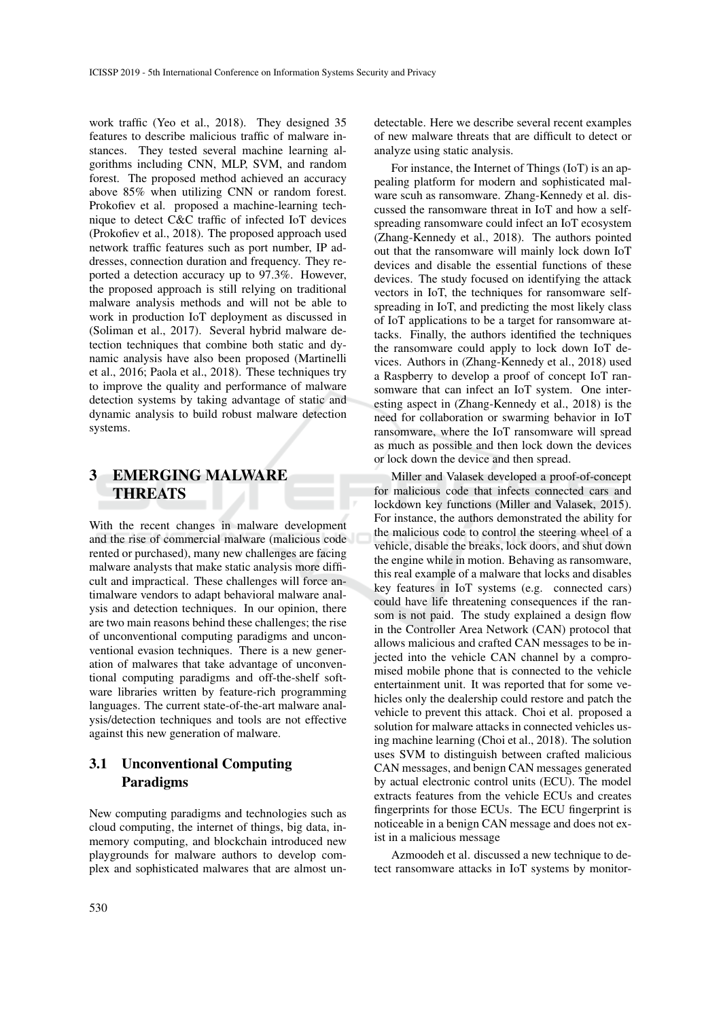work traffic (Yeo et al., 2018). They designed 35 features to describe malicious traffic of malware instances. They tested several machine learning algorithms including CNN, MLP, SVM, and random forest. The proposed method achieved an accuracy above 85% when utilizing CNN or random forest. Prokofiev et al. proposed a machine-learning technique to detect C&C traffic of infected IoT devices (Prokofiev et al., 2018). The proposed approach used network traffic features such as port number, IP addresses, connection duration and frequency. They reported a detection accuracy up to 97.3%. However, the proposed approach is still relying on traditional malware analysis methods and will not be able to work in production IoT deployment as discussed in (Soliman et al., 2017). Several hybrid malware detection techniques that combine both static and dynamic analysis have also been proposed (Martinelli et al., 2016; Paola et al., 2018). These techniques try to improve the quality and performance of malware detection systems by taking advantage of static and dynamic analysis to build robust malware detection systems.

# 3 EMERGING MALWARE THREATS

With the recent changes in malware development and the rise of commercial malware (malicious code rented or purchased), many new challenges are facing malware analysts that make static analysis more difficult and impractical. These challenges will force antimalware vendors to adapt behavioral malware analysis and detection techniques. In our opinion, there are two main reasons behind these challenges; the rise of unconventional computing paradigms and unconventional evasion techniques. There is a new generation of malwares that take advantage of unconventional computing paradigms and off-the-shelf software libraries written by feature-rich programming languages. The current state-of-the-art malware analysis/detection techniques and tools are not effective against this new generation of malware.

## 3.1 Unconventional Computing Paradigms

New computing paradigms and technologies such as cloud computing, the internet of things, big data, inmemory computing, and blockchain introduced new playgrounds for malware authors to develop complex and sophisticated malwares that are almost undetectable. Here we describe several recent examples of new malware threats that are difficult to detect or analyze using static analysis.

For instance, the Internet of Things (IoT) is an appealing platform for modern and sophisticated malware scuh as ransomware. Zhang-Kennedy et al. discussed the ransomware threat in IoT and how a selfspreading ransomware could infect an IoT ecosystem (Zhang-Kennedy et al., 2018). The authors pointed out that the ransomware will mainly lock down IoT devices and disable the essential functions of these devices. The study focused on identifying the attack vectors in IoT, the techniques for ransomware selfspreading in IoT, and predicting the most likely class of IoT applications to be a target for ransomware attacks. Finally, the authors identified the techniques the ransomware could apply to lock down IoT devices. Authors in (Zhang-Kennedy et al., 2018) used a Raspberry to develop a proof of concept IoT ransomware that can infect an IoT system. One interesting aspect in (Zhang-Kennedy et al., 2018) is the need for collaboration or swarming behavior in IoT ransomware, where the IoT ransomware will spread as much as possible and then lock down the devices or lock down the device and then spread.

Miller and Valasek developed a proof-of-concept for malicious code that infects connected cars and lockdown key functions (Miller and Valasek, 2015). For instance, the authors demonstrated the ability for the malicious code to control the steering wheel of a vehicle, disable the breaks, lock doors, and shut down the engine while in motion. Behaving as ransomware, this real example of a malware that locks and disables key features in IoT systems (e.g. connected cars) could have life threatening consequences if the ransom is not paid. The study explained a design flow in the Controller Area Network (CAN) protocol that allows malicious and crafted CAN messages to be injected into the vehicle CAN channel by a compromised mobile phone that is connected to the vehicle entertainment unit. It was reported that for some vehicles only the dealership could restore and patch the vehicle to prevent this attack. Choi et al. proposed a solution for malware attacks in connected vehicles using machine learning (Choi et al., 2018). The solution uses SVM to distinguish between crafted malicious CAN messages, and benign CAN messages generated by actual electronic control units (ECU). The model extracts features from the vehicle ECUs and creates fingerprints for those ECUs. The ECU fingerprint is noticeable in a benign CAN message and does not exist in a malicious message

Azmoodeh et al. discussed a new technique to detect ransomware attacks in IoT systems by monitor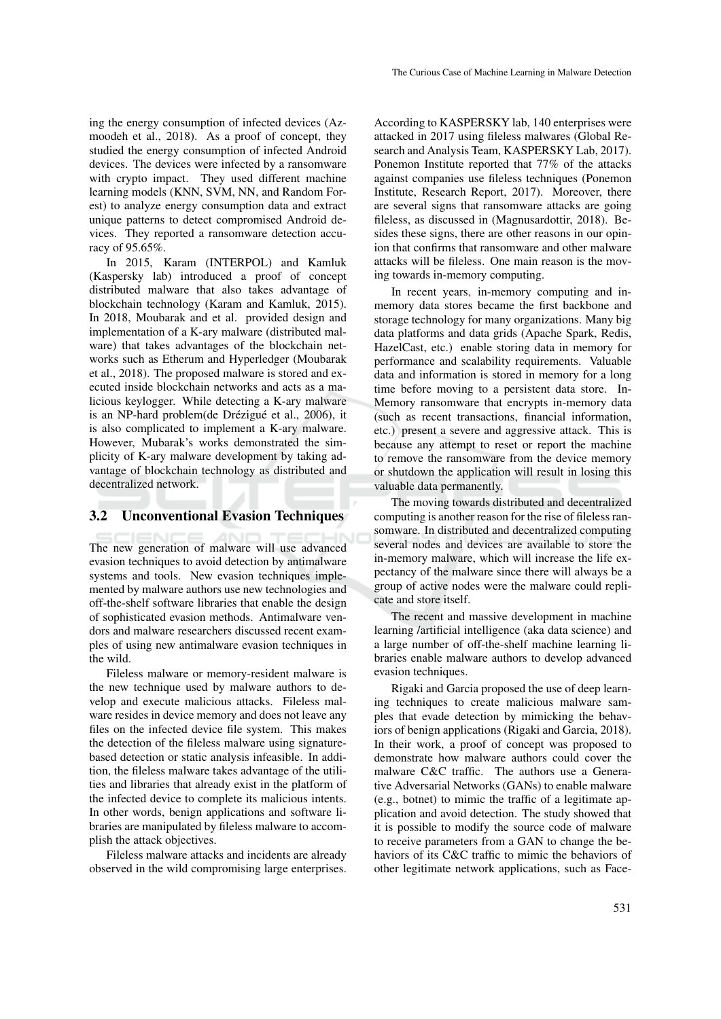ing the energy consumption of infected devices (Azmoodeh et al., 2018). As a proof of concept, they studied the energy consumption of infected Android devices. The devices were infected by a ransomware with crypto impact. They used different machine learning models (KNN, SVM, NN, and Random Forest) to analyze energy consumption data and extract unique patterns to detect compromised Android devices. They reported a ransomware detection accuracy of 95.65%.

In 2015, Karam (INTERPOL) and Kamluk (Kaspersky lab) introduced a proof of concept distributed malware that also takes advantage of blockchain technology (Karam and Kamluk, 2015). In 2018, Moubarak and et al. provided design and implementation of a K-ary malware (distributed malware) that takes advantages of the blockchain networks such as Etherum and Hyperledger (Moubarak et al., 2018). The proposed malware is stored and executed inside blockchain networks and acts as a malicious keylogger. While detecting a K-ary malware is an NP-hard problem(de Drézigué et al., 2006), it is also complicated to implement a K-ary malware. However, Mubarak's works demonstrated the simplicity of K-ary malware development by taking advantage of blockchain technology as distributed and decentralized network.

### 3.2 Unconventional Evasion Techniques

The new generation of malware will use advanced evasion techniques to avoid detection by antimalware systems and tools. New evasion techniques implemented by malware authors use new technologies and off-the-shelf software libraries that enable the design of sophisticated evasion methods. Antimalware vendors and malware researchers discussed recent examples of using new antimalware evasion techniques in the wild.

Fileless malware or memory-resident malware is the new technique used by malware authors to develop and execute malicious attacks. Fileless malware resides in device memory and does not leave any files on the infected device file system. This makes the detection of the fileless malware using signaturebased detection or static analysis infeasible. In addition, the fileless malware takes advantage of the utilities and libraries that already exist in the platform of the infected device to complete its malicious intents. In other words, benign applications and software libraries are manipulated by fileless malware to accomplish the attack objectives.

Fileless malware attacks and incidents are already observed in the wild compromising large enterprises. According to KASPERSKY lab, 140 enterprises were attacked in 2017 using fileless malwares (Global Research and Analysis Team, KASPERSKY Lab, 2017). Ponemon Institute reported that 77% of the attacks against companies use fileless techniques (Ponemon Institute, Research Report, 2017). Moreover, there are several signs that ransomware attacks are going fileless, as discussed in (Magnusardottir, 2018). Besides these signs, there are other reasons in our opinion that confirms that ransomware and other malware attacks will be fileless. One main reason is the moving towards in-memory computing.

In recent years, in-memory computing and inmemory data stores became the first backbone and storage technology for many organizations. Many big data platforms and data grids (Apache Spark, Redis, HazelCast, etc.) enable storing data in memory for performance and scalability requirements. Valuable data and information is stored in memory for a long time before moving to a persistent data store. In-Memory ransomware that encrypts in-memory data (such as recent transactions, financial information, etc.) present a severe and aggressive attack. This is because any attempt to reset or report the machine to remove the ransomware from the device memory or shutdown the application will result in losing this valuable data permanently.

The moving towards distributed and decentralized computing is another reason for the rise of fileless ransomware. In distributed and decentralized computing several nodes and devices are available to store the in-memory malware, which will increase the life expectancy of the malware since there will always be a group of active nodes were the malware could replicate and store itself.

The recent and massive development in machine learning /artificial intelligence (aka data science) and a large number of off-the-shelf machine learning libraries enable malware authors to develop advanced evasion techniques.

Rigaki and Garcia proposed the use of deep learning techniques to create malicious malware samples that evade detection by mimicking the behaviors of benign applications (Rigaki and Garcia, 2018). In their work, a proof of concept was proposed to demonstrate how malware authors could cover the malware C&C traffic. The authors use a Generative Adversarial Networks (GANs) to enable malware (e.g., botnet) to mimic the traffic of a legitimate application and avoid detection. The study showed that it is possible to modify the source code of malware to receive parameters from a GAN to change the behaviors of its C&C traffic to mimic the behaviors of other legitimate network applications, such as Face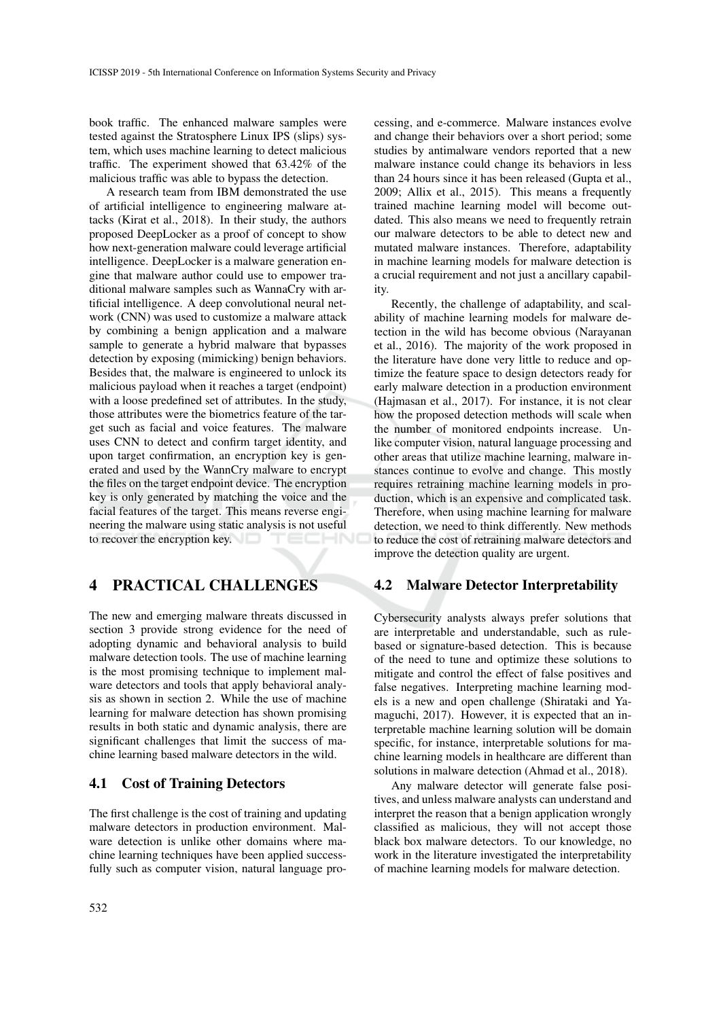book traffic. The enhanced malware samples were tested against the Stratosphere Linux IPS (slips) system, which uses machine learning to detect malicious traffic. The experiment showed that 63.42% of the malicious traffic was able to bypass the detection.

A research team from IBM demonstrated the use of artificial intelligence to engineering malware attacks (Kirat et al., 2018). In their study, the authors proposed DeepLocker as a proof of concept to show how next-generation malware could leverage artificial intelligence. DeepLocker is a malware generation engine that malware author could use to empower traditional malware samples such as WannaCry with artificial intelligence. A deep convolutional neural network (CNN) was used to customize a malware attack by combining a benign application and a malware sample to generate a hybrid malware that bypasses detection by exposing (mimicking) benign behaviors. Besides that, the malware is engineered to unlock its malicious payload when it reaches a target (endpoint) with a loose predefined set of attributes. In the study, those attributes were the biometrics feature of the target such as facial and voice features. The malware uses CNN to detect and confirm target identity, and upon target confirmation, an encryption key is generated and used by the WannCry malware to encrypt the files on the target endpoint device. The encryption key is only generated by matching the voice and the facial features of the target. This means reverse engineering the malware using static analysis is not useful to recover the encryption key. TECHNO

## 4 PRACTICAL CHALLENGES

The new and emerging malware threats discussed in section 3 provide strong evidence for the need of adopting dynamic and behavioral analysis to build malware detection tools. The use of machine learning is the most promising technique to implement malware detectors and tools that apply behavioral analysis as shown in section 2. While the use of machine learning for malware detection has shown promising results in both static and dynamic analysis, there are significant challenges that limit the success of machine learning based malware detectors in the wild.

#### 4.1 Cost of Training Detectors

The first challenge is the cost of training and updating malware detectors in production environment. Malware detection is unlike other domains where machine learning techniques have been applied successfully such as computer vision, natural language processing, and e-commerce. Malware instances evolve and change their behaviors over a short period; some studies by antimalware vendors reported that a new malware instance could change its behaviors in less than 24 hours since it has been released (Gupta et al., 2009; Allix et al., 2015). This means a frequently trained machine learning model will become outdated. This also means we need to frequently retrain our malware detectors to be able to detect new and mutated malware instances. Therefore, adaptability in machine learning models for malware detection is a crucial requirement and not just a ancillary capability.

Recently, the challenge of adaptability, and scalability of machine learning models for malware detection in the wild has become obvious (Narayanan et al., 2016). The majority of the work proposed in the literature have done very little to reduce and optimize the feature space to design detectors ready for early malware detection in a production environment (Hajmasan et al., 2017). For instance, it is not clear how the proposed detection methods will scale when the number of monitored endpoints increase. Unlike computer vision, natural language processing and other areas that utilize machine learning, malware instances continue to evolve and change. This mostly requires retraining machine learning models in production, which is an expensive and complicated task. Therefore, when using machine learning for malware detection, we need to think differently. New methods to reduce the cost of retraining malware detectors and improve the detection quality are urgent.

#### 4.2 Malware Detector Interpretability

Cybersecurity analysts always prefer solutions that are interpretable and understandable, such as rulebased or signature-based detection. This is because of the need to tune and optimize these solutions to mitigate and control the effect of false positives and false negatives. Interpreting machine learning models is a new and open challenge (Shirataki and Yamaguchi, 2017). However, it is expected that an interpretable machine learning solution will be domain specific, for instance, interpretable solutions for machine learning models in healthcare are different than solutions in malware detection (Ahmad et al., 2018).

Any malware detector will generate false positives, and unless malware analysts can understand and interpret the reason that a benign application wrongly classified as malicious, they will not accept those black box malware detectors. To our knowledge, no work in the literature investigated the interpretability of machine learning models for malware detection.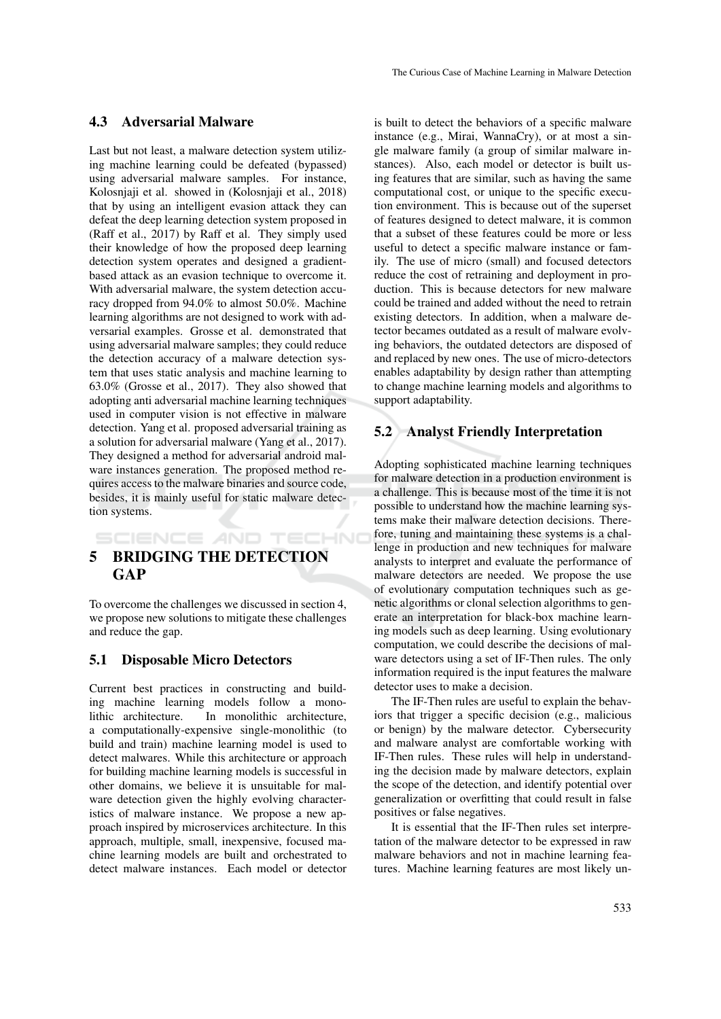### 4.3 Adversarial Malware

Last but not least, a malware detection system utilizing machine learning could be defeated (bypassed) using adversarial malware samples. For instance, Kolosnjaji et al. showed in (Kolosnjaji et al., 2018) that by using an intelligent evasion attack they can defeat the deep learning detection system proposed in (Raff et al., 2017) by Raff et al. They simply used their knowledge of how the proposed deep learning detection system operates and designed a gradientbased attack as an evasion technique to overcome it. With adversarial malware, the system detection accuracy dropped from 94.0% to almost 50.0%. Machine learning algorithms are not designed to work with adversarial examples. Grosse et al. demonstrated that using adversarial malware samples; they could reduce the detection accuracy of a malware detection system that uses static analysis and machine learning to 63.0% (Grosse et al., 2017). They also showed that adopting anti adversarial machine learning techniques used in computer vision is not effective in malware detection. Yang et al. proposed adversarial training as a solution for adversarial malware (Yang et al., 2017). They designed a method for adversarial android malware instances generation. The proposed method requires access to the malware binaries and source code, besides, it is mainly useful for static malware detection systems.

# 5 BRIDGING THE DETECTION **GAP**

SCIENCE AND TECHNO

To overcome the challenges we discussed in section 4, we propose new solutions to mitigate these challenges and reduce the gap.

## 5.1 Disposable Micro Detectors

Current best practices in constructing and building machine learning models follow a monolithic architecture. In monolithic architecture, a computationally-expensive single-monolithic (to build and train) machine learning model is used to detect malwares. While this architecture or approach for building machine learning models is successful in other domains, we believe it is unsuitable for malware detection given the highly evolving characteristics of malware instance. We propose a new approach inspired by microservices architecture. In this approach, multiple, small, inexpensive, focused machine learning models are built and orchestrated to detect malware instances. Each model or detector

is built to detect the behaviors of a specific malware instance (e.g., Mirai, WannaCry), or at most a single malware family (a group of similar malware instances). Also, each model or detector is built using features that are similar, such as having the same computational cost, or unique to the specific execution environment. This is because out of the superset of features designed to detect malware, it is common that a subset of these features could be more or less useful to detect a specific malware instance or family. The use of micro (small) and focused detectors reduce the cost of retraining and deployment in production. This is because detectors for new malware could be trained and added without the need to retrain existing detectors. In addition, when a malware detector becames outdated as a result of malware evolving behaviors, the outdated detectors are disposed of and replaced by new ones. The use of micro-detectors enables adaptability by design rather than attempting to change machine learning models and algorithms to support adaptability.

## 5.2 Analyst Friendly Interpretation

Adopting sophisticated machine learning techniques for malware detection in a production environment is a challenge. This is because most of the time it is not possible to understand how the machine learning systems make their malware detection decisions. Therefore, tuning and maintaining these systems is a challenge in production and new techniques for malware analysts to interpret and evaluate the performance of malware detectors are needed. We propose the use of evolutionary computation techniques such as genetic algorithms or clonal selection algorithms to generate an interpretation for black-box machine learning models such as deep learning. Using evolutionary computation, we could describe the decisions of malware detectors using a set of IF-Then rules. The only information required is the input features the malware detector uses to make a decision.

The IF-Then rules are useful to explain the behaviors that trigger a specific decision (e.g., malicious or benign) by the malware detector. Cybersecurity and malware analyst are comfortable working with IF-Then rules. These rules will help in understanding the decision made by malware detectors, explain the scope of the detection, and identify potential over generalization or overfitting that could result in false positives or false negatives.

It is essential that the IF-Then rules set interpretation of the malware detector to be expressed in raw malware behaviors and not in machine learning features. Machine learning features are most likely un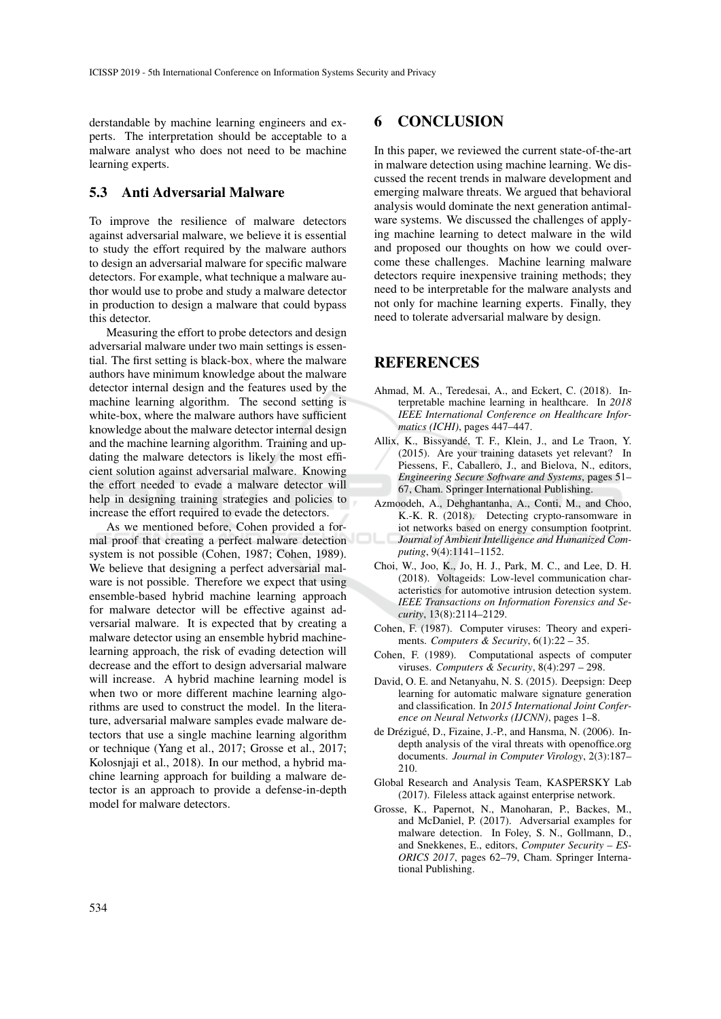derstandable by machine learning engineers and experts. The interpretation should be acceptable to a malware analyst who does not need to be machine learning experts.

## 5.3 Anti Adversarial Malware

To improve the resilience of malware detectors against adversarial malware, we believe it is essential to study the effort required by the malware authors to design an adversarial malware for specific malware detectors. For example, what technique a malware author would use to probe and study a malware detector in production to design a malware that could bypass this detector.

Measuring the effort to probe detectors and design adversarial malware under two main settings is essential. The first setting is black-box, where the malware authors have minimum knowledge about the malware detector internal design and the features used by the machine learning algorithm. The second setting is white-box, where the malware authors have sufficient knowledge about the malware detector internal design and the machine learning algorithm. Training and updating the malware detectors is likely the most efficient solution against adversarial malware. Knowing the effort needed to evade a malware detector will help in designing training strategies and policies to increase the effort required to evade the detectors.

As we mentioned before, Cohen provided a formal proof that creating a perfect malware detection system is not possible (Cohen, 1987; Cohen, 1989). We believe that designing a perfect adversarial malware is not possible. Therefore we expect that using ensemble-based hybrid machine learning approach for malware detector will be effective against adversarial malware. It is expected that by creating a malware detector using an ensemble hybrid machinelearning approach, the risk of evading detection will decrease and the effort to design adversarial malware will increase. A hybrid machine learning model is when two or more different machine learning algorithms are used to construct the model. In the literature, adversarial malware samples evade malware detectors that use a single machine learning algorithm or technique (Yang et al., 2017; Grosse et al., 2017; Kolosnjaji et al., 2018). In our method, a hybrid machine learning approach for building a malware detector is an approach to provide a defense-in-depth model for malware detectors.

## 6 CONCLUSION

In this paper, we reviewed the current state-of-the-art in malware detection using machine learning. We discussed the recent trends in malware development and emerging malware threats. We argued that behavioral analysis would dominate the next generation antimalware systems. We discussed the challenges of applying machine learning to detect malware in the wild and proposed our thoughts on how we could overcome these challenges. Machine learning malware detectors require inexpensive training methods; they need to be interpretable for the malware analysts and not only for machine learning experts. Finally, they need to tolerate adversarial malware by design.

### **REFERENCES**

- Ahmad, M. A., Teredesai, A., and Eckert, C. (2018). Interpretable machine learning in healthcare. In *2018 IEEE International Conference on Healthcare Informatics (ICHI)*, pages 447–447.
- Allix, K., Bissyandé, T. F., Klein, J., and Le Traon, Y. (2015). Are your training datasets yet relevant? In Piessens, F., Caballero, J., and Bielova, N., editors, *Engineering Secure Software and Systems*, pages 51– 67, Cham. Springer International Publishing.
- Azmoodeh, A., Dehghantanha, A., Conti, M., and Choo, K.-K. R. (2018). Detecting crypto-ransomware in iot networks based on energy consumption footprint. *Journal of Ambient Intelligence and Humanized Computing*, 9(4):1141–1152.
- Choi, W., Joo, K., Jo, H. J., Park, M. C., and Lee, D. H. (2018). Voltageids: Low-level communication characteristics for automotive intrusion detection system. *IEEE Transactions on Information Forensics and Security*, 13(8):2114–2129.
- Cohen, F. (1987). Computer viruses: Theory and experiments. *Computers & Security*, 6(1):22 – 35.
- Cohen, F. (1989). Computational aspects of computer viruses. *Computers & Security*, 8(4):297 – 298.
- David, O. E. and Netanyahu, N. S. (2015). Deepsign: Deep learning for automatic malware signature generation and classification. In *2015 International Joint Conference on Neural Networks (IJCNN)*, pages 1–8.
- de Drézigué, D., Fizaine, J.-P., and Hansma, N. (2006). Indepth analysis of the viral threats with openoffice.org documents. *Journal in Computer Virology*, 2(3):187– 210.
- Global Research and Analysis Team, KASPERSKY Lab (2017). Fileless attack against enterprise network.
- Grosse, K., Papernot, N., Manoharan, P., Backes, M., and McDaniel, P. (2017). Adversarial examples for malware detection. In Foley, S. N., Gollmann, D., and Snekkenes, E., editors, *Computer Security – ES-ORICS 2017*, pages 62–79, Cham. Springer International Publishing.